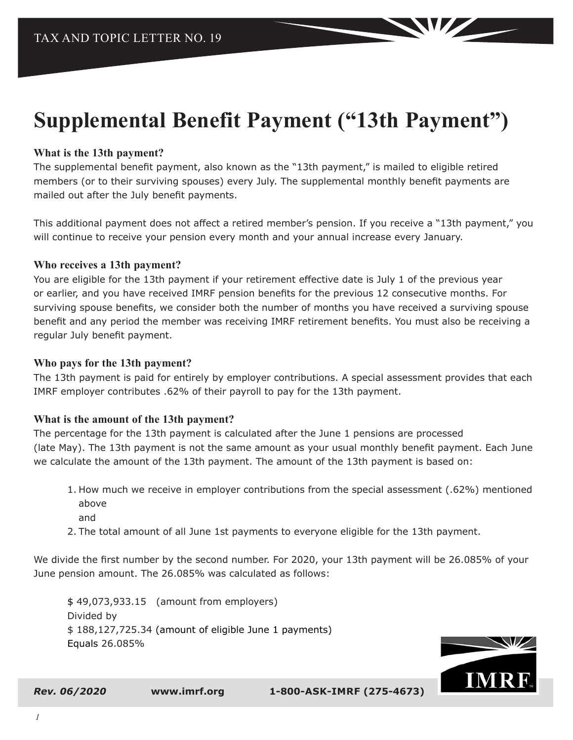# **Supplemental Benefit Payment ("13th Payment")**

#### **What is the 13th payment?**

The supplemental benefit payment, also known as the "13th payment," is mailed to eligible retired members (or to their surviving spouses) every July. The supplemental monthly benefit payments are mailed out after the July benefit payments.

This additional payment does not affect a retired member's pension. If you receive a "13th payment," you will continue to receive your pension every month and your annual increase every January.

#### **Who receives a 13th payment?**

You are eligible for the 13th payment if your retirement effective date is July 1 of the previous year or earlier, and you have received IMRF pension benefits for the previous 12 consecutive months. For surviving spouse benefits, we consider both the number of months you have received a surviving spouse benefit and any period the member was receiving IMRF retirement benefits. You must also be receiving a regular July benefit payment.

#### **Who pays for the 13th payment?**

The 13th payment is paid for entirely by employer contributions. A special assessment provides that each IMRF employer contributes .62% of their payroll to pay for the 13th payment.

#### **What is the amount of the 13th payment?**

The percentage for the 13th payment is calculated after the June 1 pensions are processed (late May). The 13th payment is not the same amount as your usual monthly benefit payment. Each June we calculate the amount of the 13th payment. The amount of the 13th payment is based on:

- 1. How much we receive in employer contributions from the special assessment (.62%) mentioned above
	- and
- 2. The total amount of all June 1st payments to everyone eligible for the 13th payment.

We divide the first number by the second number. For 2020, your 13th payment will be 26.085% of your June pension amount. The 26.085% was calculated as follows:

\$ 49,073,933.15 (amount from employers) Divided by \$ 188,127,725.34 (amount of eligible June 1 payments) Equals 26.085%